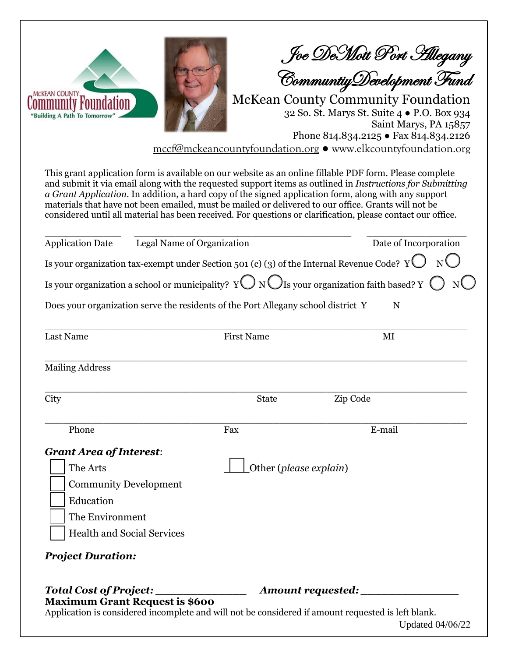MCKEAN COUNTY Community Foun "Building A Path To Tomorro

Joe DeMott Port Allegany

CommuntiyDevelopment Fund

McKean County Community Foundation 32 So. St. Marys St. Suite 4 ● P.O. Box 934 Saint Marys, PA 15857 Phone 814.834.2125 ● Fax 814.834.2126

mccf@mckeancountyfoundation.org ● www.elkcountyfoundation.org

This grant application form is available on our website as an online fillable PDF form. Please complete and submit it via email along with the requested support items as outlined in *Instructions for Submitting a Grant Application*. In addition, a hard copy of the signed application form, along with any support materials that have not been emailed, must be mailed or delivered to our office. Grants will not be considered until all material has been received. For questions or clarification, please contact our office.

| Legal Name of Organization<br><b>Application Date</b>                                                         |                        | Date of Incorporation |
|---------------------------------------------------------------------------------------------------------------|------------------------|-----------------------|
| Is your organization tax-exempt under Section 501 (c) (3) of the Internal Revenue Code? $Y \bigcup N \bigcup$ |                        |                       |
| Is your organization a school or municipality? Y $\bigcup N\bigcup$ Is your organization faith based? Y (     |                        |                       |
| Does your organization serve the residents of the Port Allegany school district Y                             |                        | N                     |
| Last Name                                                                                                     | <b>First Name</b>      | MI                    |
| <b>Mailing Address</b>                                                                                        |                        |                       |
| City                                                                                                          | <b>State</b>           | Zip Code              |
| Phone                                                                                                         | Fax                    | E-mail                |
| <b>Grant Area of Interest:</b>                                                                                |                        |                       |
| The Arts                                                                                                      | Other (please explain) |                       |
| <b>Community Development</b>                                                                                  |                        |                       |
| Education                                                                                                     |                        |                       |
| The Environment                                                                                               |                        |                       |
| <b>Health and Social Services</b>                                                                             |                        |                       |
| <b>Project Duration:</b>                                                                                      |                        |                       |
| <b>Total Cost of Project:</b><br><b>Maximum Grant Request is \$600</b>                                        |                        | Amount requested:     |

Application is considered incomplete and will not be considered if amount requested is left blank.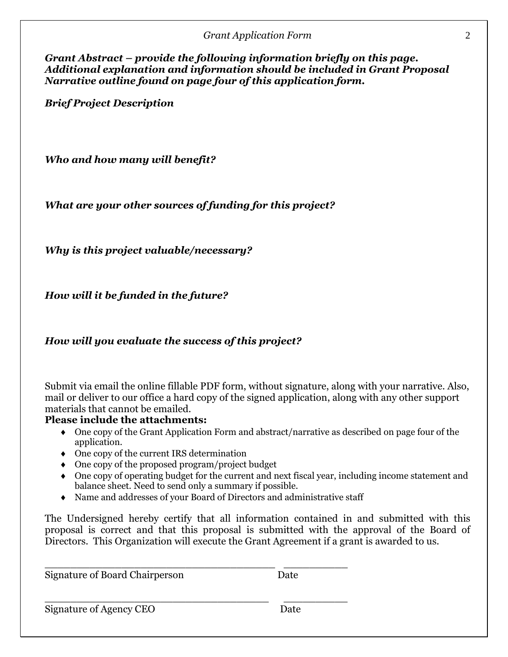| <b>Grant Application Form</b> |  |
|-------------------------------|--|
|                               |  |

*Grant Abstract – provide the following information briefly on this page. Additional explanation and information should be included in Grant Proposal Narrative outline found on page four of this application form.*

*Brief Project Description*

*Who and how many will benefit?*

*What are your other sources of funding for this project?*

*Why is this project valuable/necessary?*

*How will it be funded in the future?*

*How will you evaluate the success of this project?*

Submit via email the online fillable PDF form, without signature, along with your narrative. Also, mail or deliver to our office a hard copy of the signed application, along with any other support materials that cannot be emailed.

### **Please include the attachments:**

- One copy of the Grant Application Form and abstract/narrative as described on page four of the application.
- One copy of the current IRS determination
- One copy of the proposed program/project budget
- One copy of operating budget for the current and next fiscal year, including income statement and balance sheet. Need to send only a summary if possible.
- Name and addresses of your Board of Directors and administrative staff

\_\_\_\_\_\_\_\_\_\_\_\_\_\_\_\_\_\_\_\_\_\_\_\_\_\_\_\_\_\_\_\_\_\_\_\_ \_\_\_\_\_\_\_\_\_\_

The Undersigned hereby certify that all information contained in and submitted with this proposal is correct and that this proposal is submitted with the approval of the Board of Directors. This Organization will execute the Grant Agreement if a grant is awarded to us.

Signature of Board Chairperson Date

Signature of Agency CEO Date

\_\_\_\_\_\_\_\_\_\_\_\_\_\_\_\_\_\_\_\_\_\_\_\_\_\_\_\_\_\_\_\_\_\_\_ \_\_\_\_\_\_\_\_\_\_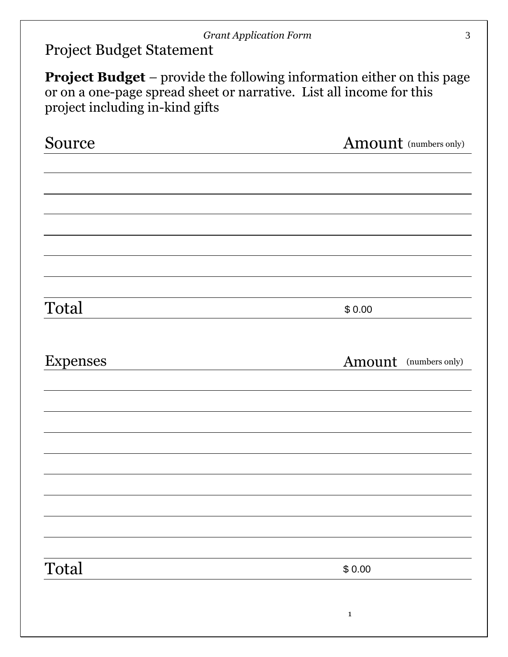## *Grant Application Form* 3

Project Budget Statement

**Project Budget** *–* provide the following information either on this page or on a one-page spread sheet or narrative. List all income for this project including in-kind gifts

| Source          | Amount (numbers only) |
|-----------------|-----------------------|
|                 |                       |
|                 |                       |
|                 |                       |
|                 |                       |
|                 |                       |
|                 |                       |
|                 |                       |
| Total           | \$0.00                |
|                 |                       |
| <b>Expenses</b> | Amount (numbers only) |
|                 |                       |
|                 |                       |
|                 |                       |
|                 |                       |
|                 |                       |
|                 |                       |
|                 |                       |
|                 |                       |
|                 |                       |
| Total           | \$0.00                |
|                 |                       |
|                 | $\mathbf 1$           |